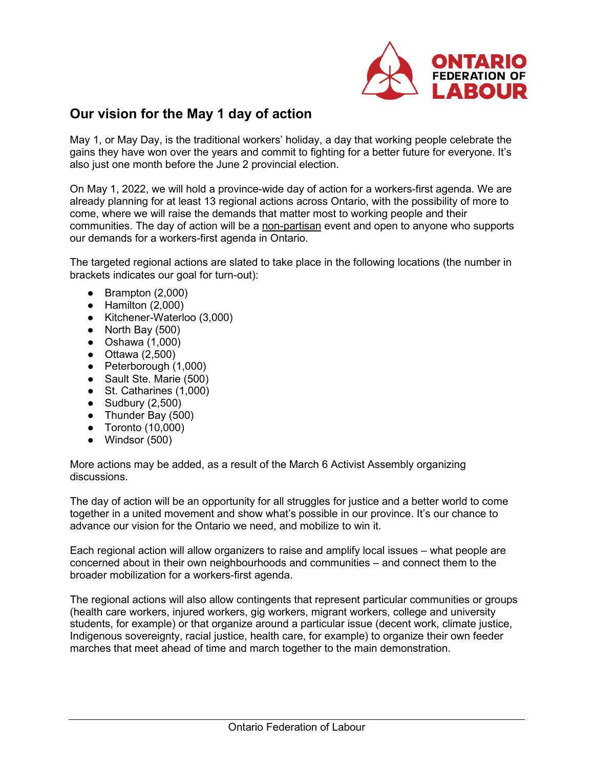

## **Our vision for the May 1 day of action**

May 1, or May Day, is the traditional workers' holiday, a day that working people celebrate the gains they have won over the years and commit to fighting for a better future for everyone. It's also just one month before the June 2 provincial election.

On May 1, 2022, we will hold a province-wide day of action for a workers-first agenda. We are already planning for at least 13 regional actions across Ontario, with the possibility of more to come, where we will raise the demands that matter most to working people and their communities. The day of action will be a non-partisan event and open to anyone who supports our demands for a workers-first agenda in Ontario.

The targeted regional actions are slated to take place in the following locations (the number in brackets indicates our goal for turn-out):

- $\bullet$  Brampton (2,000)
- $\bullet$  Hamilton (2,000)
- Kitchener-Waterloo (3,000)
- North Bay (500)
- $\bullet$  Oshawa  $(1,000)$
- $\bullet$  Ottawa  $(2,500)$
- Peterborough (1,000)
- Sault Ste. Marie (500)
- St. Catharines (1,000)
- Sudbury (2,500)
- Thunder Bay (500)
- Toronto (10,000)
- Windsor (500)

More actions may be added, as a result of the March 6 Activist Assembly organizing discussions.

The day of action will be an opportunity for all struggles for justice and a better world to come together in a united movement and show what's possible in our province. It's our chance to advance our vision for the Ontario we need, and mobilize to win it.

Each regional action will allow organizers to raise and amplify local issues – what people are concerned about in their own neighbourhoods and communities – and connect them to the broader mobilization for a workers-first agenda.

The regional actions will also allow contingents that represent particular communities or groups (health care workers, injured workers, gig workers, migrant workers, college and university students, for example) or that organize around a particular issue (decent work, climate justice, Indigenous sovereignty, racial justice, health care, for example) to organize their own feeder marches that meet ahead of time and march together to the main demonstration.